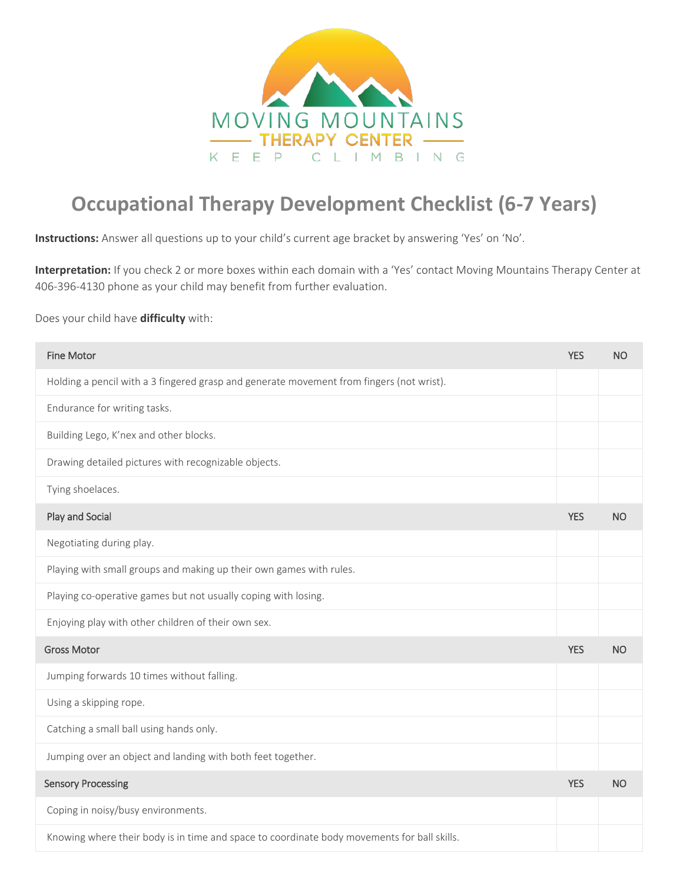

## **Occupational Therapy Development Checklist (6-7 Years)**

**Instructions:** Answer all questions up to your child's current age bracket by answering 'Yes' on 'No'.

**Interpretation:** If you check 2 or more boxes within each domain with a 'Yes' contact Moving Mountains Therapy Center at 406-396-4130 phone as your child may benefit from further evaluation.

Does your child have **difficulty** with:

| <b>Fine Motor</b>                                                                           | <b>YES</b> | <b>NO</b> |
|---------------------------------------------------------------------------------------------|------------|-----------|
| Holding a pencil with a 3 fingered grasp and generate movement from fingers (not wrist).    |            |           |
| Endurance for writing tasks.                                                                |            |           |
| Building Lego, K'nex and other blocks.                                                      |            |           |
| Drawing detailed pictures with recognizable objects.                                        |            |           |
| Tying shoelaces.                                                                            |            |           |
| Play and Social                                                                             | <b>YES</b> | <b>NO</b> |
| Negotiating during play.                                                                    |            |           |
| Playing with small groups and making up their own games with rules.                         |            |           |
| Playing co-operative games but not usually coping with losing.                              |            |           |
| Enjoying play with other children of their own sex.                                         |            |           |
| <b>Gross Motor</b>                                                                          | <b>YES</b> | <b>NO</b> |
| Jumping forwards 10 times without falling.                                                  |            |           |
| Using a skipping rope.                                                                      |            |           |
| Catching a small ball using hands only.                                                     |            |           |
| Jumping over an object and landing with both feet together.                                 |            |           |
| <b>Sensory Processing</b>                                                                   | <b>YES</b> | <b>NO</b> |
| Coping in noisy/busy environments.                                                          |            |           |
| Knowing where their body is in time and space to coordinate body movements for ball skills. |            |           |